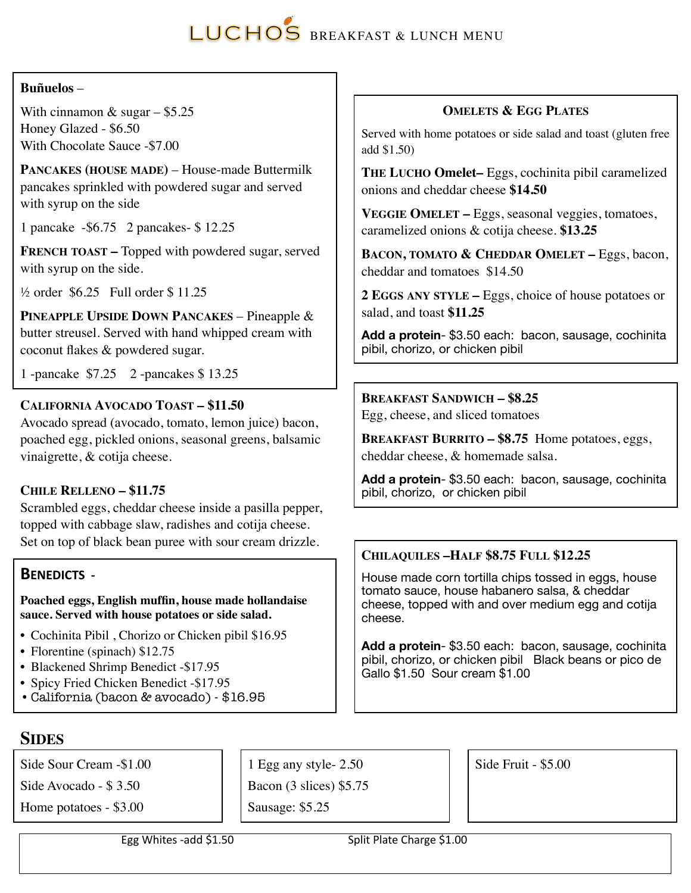# LUCHOS BREAKFAST & LUNCH MENU

#### **Buñuelos** –

With cinnamon  $&$  sugar – \$5.25 Honey Glazed - \$6.50 With Chocolate Sauce -\$7.00

**PANCAKES (HOUSE MADE)** – House-made Buttermilk pancakes sprinkled with powdered sugar and served with syrup on the side

1 pancake -\$6.75 2 pancakes- \$ 12.25

**FRENCH TOAST –** Topped with powdered sugar, served with syrup on the side.

 $\frac{1}{2}$  order \$6.25 Full order \$11.25

**PINEAPPLE UPSIDE DOWN PANCAKES** – Pineapple & butter streusel. Served with hand whipped cream with coconut flakes & powdered sugar.

1 -pancake \$7.25 2 -pancakes \$ 13.25

# **CALIFORNIA AVOCADO TOAST – \$11.50**

Avocado spread (avocado, tomato, lemon juice) bacon, poached egg, pickled onions, seasonal greens, balsamic vinaigrette, & cotija cheese.

# **CHILE RELLENO – \$11.75**

Scrambled eggs, cheddar cheese inside a pasilla pepper, topped with cabbage slaw, radishes and cotija cheese. Set on top of black bean puree with sour cream drizzle.

# **BENEDICTS -**

**Poached eggs, English muffin, house made hollandaise sauce. Served with house potatoes or side salad.**

- Cochinita Pibil , Chorizo or Chicken pibil \$16.95
- Florentine (spinach) \$12.75
- Blackened Shrimp Benedict -\$17.95
- Spicy Fried Chicken Benedict -\$17.95
- •California (bacon & avocado) \$16.95

# **OMELETS & EGG PLATES**

Served with home potatoes or side salad and toast (gluten free add \$1.50)

**THE LUCHO Omelet–** Eggs, cochinita pibil caramelized onions and cheddar cheese **\$14.50**

**VEGGIE OMELET –** Eggs, seasonal veggies, tomatoes, caramelized onions & cotija cheese. **\$13.25**

BACON, TOMATO & CHEDDAR OMELET - Eggs, bacon, cheddar and tomatoes \$14.50

**2 EGGS ANY STYLE –** Eggs, choice of house potatoes or salad, and toast **\$11.25** 

**Add a protein**- \$3.50 each: bacon, sausage, cochinita pibil, chorizo, or chicken pibil

#### **BREAKFAST SANDWICH – \$8.25**

Egg, cheese, and sliced tomatoes

**BREAKFAST BURRITO – \$8.75** Home potatoes, eggs, cheddar cheese, & homemade salsa.

**Add a protein**- \$3.50 each: bacon, sausage, cochinita pibil, chorizo, or chicken pibil

# **CHILAQUILES –HALF \$8.75 FULL \$12.25**

House made corn tortilla chips tossed in eggs, house tomato sauce, house habanero salsa, & cheddar cheese, topped with and over medium egg and cotija cheese.

**Add a protein**- \$3.50 each: bacon, sausage, cochinita pibil, chorizo, or chicken pibil Black beans or pico de Gallo \$1.50 Sour cream \$1.00

# **SIDES**

Side Sour Cream -\$1.00

Side Avocado - \$ 3.50

Home potatoes - \$3.00

1 Egg any style- 2.50

Bacon (3 slices) \$5.75

Sausage: \$5.25

Side Fruit - \$5.00

Egg Whites -add \$1.50 Split Plate Charge \$1.00